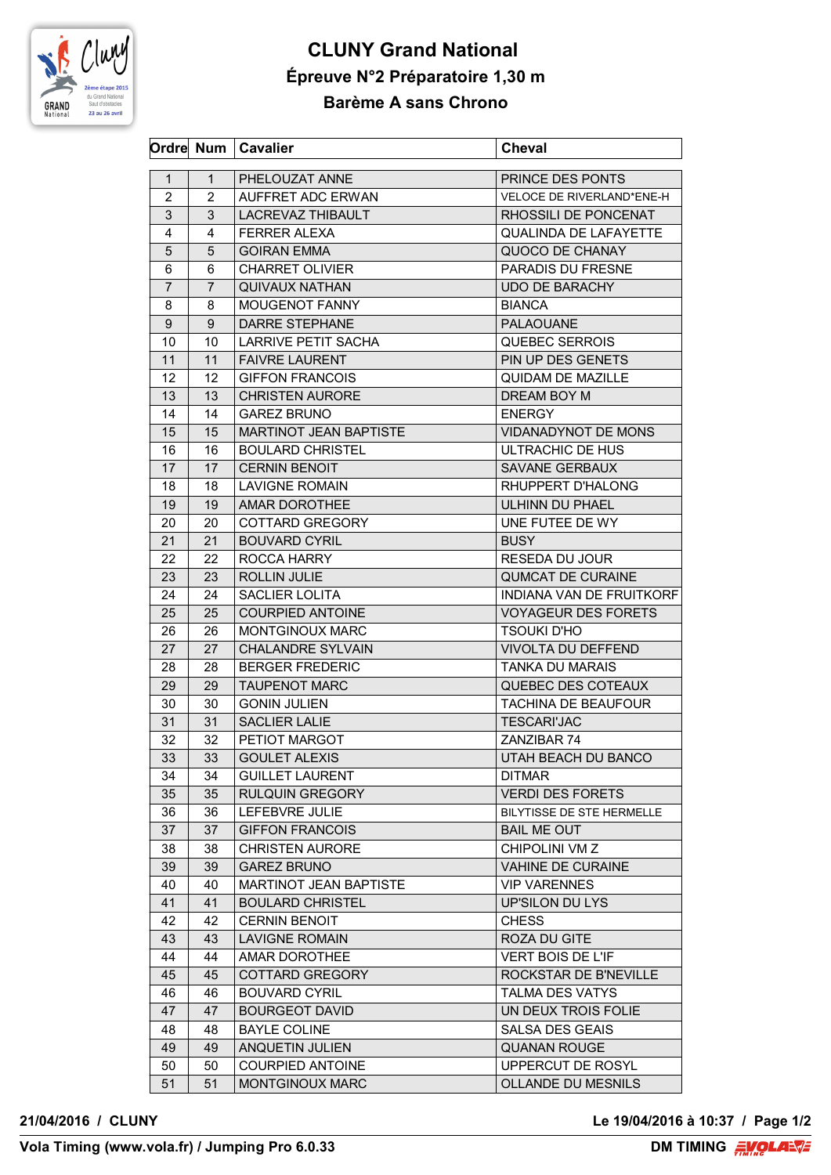

## **CLUNY Grand National Épreuve N°2 Préparatoire 1,30 m Barème A sans Chrono**

|                |                | Ordre Num   Cavalier          | <b>Cheval</b>                    |
|----------------|----------------|-------------------------------|----------------------------------|
| $\mathbf{1}$   | $\mathbf{1}$   | PHELOUZAT ANNE                | PRINCE DES PONTS                 |
| $\overline{2}$ | 2              | AUFFRET ADC ERWAN             | <b>VELOCE DE RIVERLAND*ENE-H</b> |
| 3              | 3              | LACREVAZ THIBAULT             | RHOSSILI DE PONCENAT             |
| 4              | 4              | <b>FERRER ALEXA</b>           | QUALINDA DE LAFAYETTE            |
| 5              | 5.             | <b>GOIRAN EMMA</b>            | QUOCO DE CHANAY                  |
| 6              | 6              | <b>CHARRET OLIVIER</b>        | <b>PARADIS DU FRESNE</b>         |
| $\overline{7}$ | $\overline{7}$ | <b>QUIVAUX NATHAN</b>         | <b>UDO DE BARACHY</b>            |
| 8              | 8              | MOUGENOT FANNY                | <b>BIANCA</b>                    |
| 9              | 9              | <b>DARRE STEPHANE</b>         | PALAOUANE                        |
| 10             | 10             | LARRIVE PETIT SACHA           | QUEBEC SERROIS                   |
|                | 11             | <b>FAIVRE LAURENT</b>         | PIN UP DES GENETS                |
| 11<br>12       | 12             | <b>GIFFON FRANCOIS</b>        | <b>QUIDAM DE MAZILLE</b>         |
|                |                |                               |                                  |
| 13             | 13             | <b>CHRISTEN AURORE</b>        | DREAM BOY M                      |
| 14             | 14             | <b>GAREZ BRUNO</b>            | <b>ENERGY</b>                    |
| 15             | 15             | MARTINOT JEAN BAPTISTE        | VIDANADYNOT DE MONS              |
| 16             | 16             | <b>BOULARD CHRISTEL</b>       | ULTRACHIC DE HUS                 |
| 17             | 17             | <b>CERNIN BENOIT</b>          | SAVANE GERBAUX                   |
| 18             | 18             | <b>LAVIGNE ROMAIN</b>         | RHUPPERT D'HALONG                |
| 19             | 19             | AMAR DOROTHEE                 | <b>ULHINN DU PHAEL</b>           |
| 20             | 20             | <b>COTTARD GREGORY</b>        | UNE FUTEE DE WY                  |
| 21             | 21             | <b>BOUVARD CYRIL</b>          | <b>BUSY</b>                      |
| 22             | 22             | ROCCA HARRY                   | <b>RESEDA DU JOUR</b>            |
| 23             | 23             | ROLLIN JULIE                  | <b>QUMCAT DE CURAINE</b>         |
| 24             | 24             | SACLIER LOLITA                | <b>INDIANA VAN DE FRUITKORF</b>  |
| 25             | 25             | <b>COURPIED ANTOINE</b>       | <b>VOYAGEUR DES FORETS</b>       |
| 26             | 26             | <b>MONTGINOUX MARC</b>        | <b>TSOUKI D'HO</b>               |
| 27             | 27             | <b>CHALANDRE SYLVAIN</b>      | VIVOLTA DU DEFFEND               |
| 28             | 28             | <b>BERGER FREDERIC</b>        | <b>TANKA DU MARAIS</b>           |
| 29             | 29             | <b>TAUPENOT MARC</b>          | QUEBEC DES COTEAUX               |
| 30             | 30             | <b>GONIN JULIEN</b>           | <b>TACHINA DE BEAUFOUR</b>       |
| 31             | 31             | <b>SACLIER LALIE</b>          | <b>TESCARI'JAC</b>               |
| 32             | 32             | PETIOT MARGOT                 | ZANZIBAR 74                      |
| 33             | 33             | <b>GOULET ALEXIS</b>          | UTAH BEACH DU BANCO              |
| 34             | 34             | <b>GUILLET LAURENT</b>        | <b>DITMAR</b>                    |
| 35             | 35             | <b>RULQUIN GREGORY</b>        | <b>VERDI DES FORETS</b>          |
| 36             | 36             | LEFEBVRE JULIE                | BILYTISSE DE STE HERMELLE        |
| 37             | 37             | <b>GIFFON FRANCOIS</b>        | <b>BAIL ME OUT</b>               |
| 38             | 38             | <b>CHRISTEN AURORE</b>        | CHIPOLINI VM Z                   |
| 39             | 39             | <b>GAREZ BRUNO</b>            | <b>VAHINE DE CURAINE</b>         |
| 40             | 40             | <b>MARTINOT JEAN BAPTISTE</b> | <b>VIP VARENNES</b>              |
| 41             | 41             | <b>BOULARD CHRISTEL</b>       | UP'SILON DU LYS                  |
| 42             | 42             | <b>CERNIN BENOIT</b>          | <b>CHESS</b>                     |
| 43             | 43             | <b>LAVIGNE ROMAIN</b>         | ROZA DU GITE                     |
| 44             | 44             | <b>AMAR DOROTHEE</b>          | <b>VERT BOIS DE L'IF</b>         |
| 45             | 45             | COTTARD GREGORY               | ROCKSTAR DE B'NEVILLE            |
| 46             | 46             | <b>BOUVARD CYRIL</b>          | <b>TALMA DES VATYS</b>           |
| 47             | 47             | <b>BOURGEOT DAVID</b>         | UN DEUX TROIS FOLIE              |
| 48             | 48             | <b>BAYLE COLINE</b>           | <b>SALSA DES GEAIS</b>           |
| 49             | 49             | ANQUETIN JULIEN               | <b>QUANAN ROUGE</b>              |
| 50             | 50             | <b>COURPIED ANTOINE</b>       | UPPERCUT DE ROSYL                |
| 51             | 51             | MONTGINOUX MARC               | <b>OLLANDE DU MESNILS</b>        |
|                |                |                               |                                  |

**21/04/2016 / CLUNY Le 19/04/2016 à 10:37 / Page 1/2**